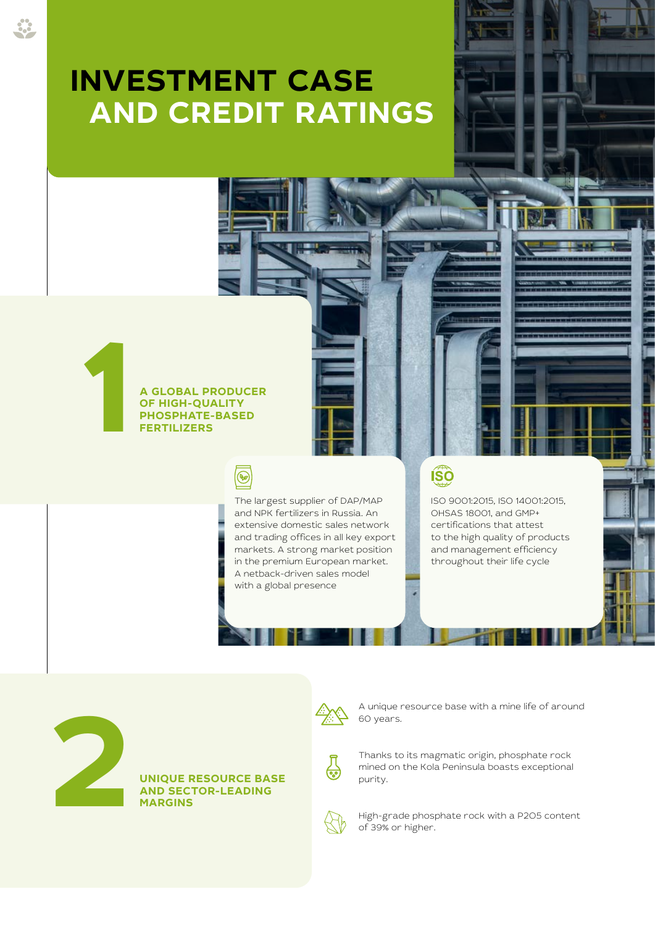# **INVESTMENT CASE AND CREDIT RATINGS**



 $\circledast$ 

**A GLOBAL PRODUCER OF HIGH-QUALITY** 

> The largest supplier of DAP/MAP and NPK fertilizers in Russia. An extensive domestic sales network and trading offices in all key export markets. A strong market position in the premium European market. A netback-driven sales model with a global presence

 $\widehat{\text{ISO}}$ 

ISO 9001:2015, ISO 14001:2015, OHSAS 18001, and GMP+ certifications that attest to the high quality of products and management efficiency throughout their life cycle

THE 2020 INTEGRATION CONTINUES. REPORT OF PJSC PHOSAGRO



**UNIQUE RESOURCE BASE** 



A unique resource base with a mine life of around 60 years.



Thanks to its magmatic origin, phosphate rock mined on the Kola Peninsula boasts exceptional purity.



High-grade phosphate rock with a P2O5 content of 39% or higher.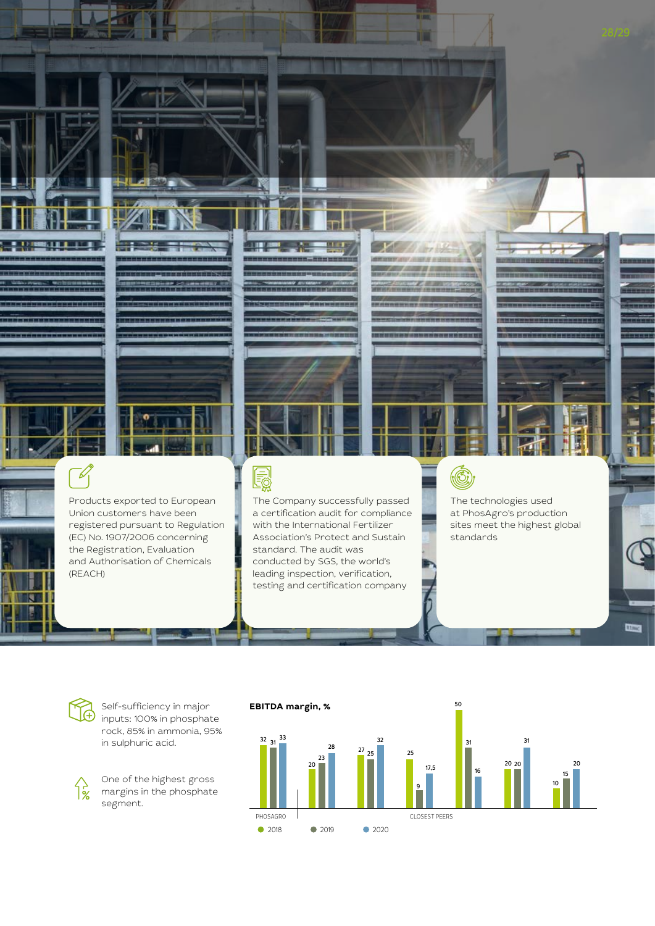

Association's Protect and Sustain

standard. The audit was conducted by SGS, the world's leading inspection, verification, testing and certification company

registered pursuant to Regulation (EC) No. 1907/2006 concerning the Registration, Evaluation and Authorisation of Chemicals (REACH)

> **EBITDA margin, % 2018** 2019 2020  $32^{33}$ 20 20 31 10 20 15 50 16 31 PHOSAGRO **CLOSEST PEERS** 20 28 23 27 32 25 25 17,5 9

standards

**Chang** 

႑ိဳင္က်

Self-sufficiency in major inputs: 100% in phosphate rock, 85% in ammonia, 95% in sulphuric acid.

One of the highest gross margins in the phosphate segment.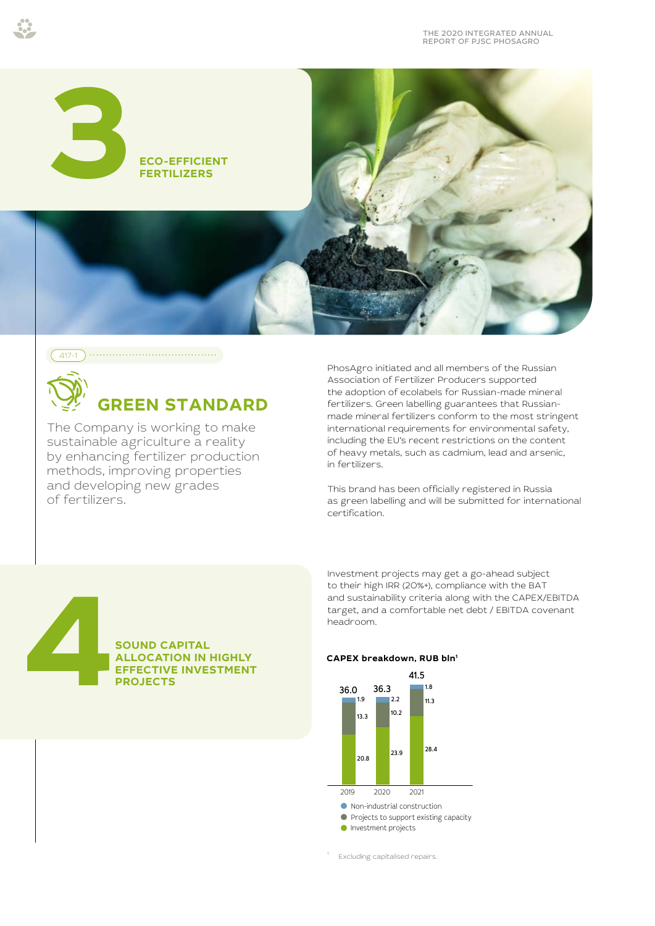



## **GREEN STANDARD**

The Company is working to make sustainable agriculture a reality by enhancing fertilizer production methods, improving properties and developing new grades of fertilizers.

PhosAgro initiated and all members of the Russian Association of Fertilizer Producers supported the adoption of ecolabels for Russian-made mineral fertilizers. Green labelling guarantees that Russianmade mineral fertilizers conform to the most stringent international requirements for environmental safety, including the EU's recent restrictions on the content of heavy metals, such as cadmium, lead and arsenic, in fertilizers.

This brand has been officially registered in Russia as green labelling and will be submitted for international certification.

**SOUND CAPITAL ALLOCATION IN HIGHLY EXPIRING AND SOUND CAPITAL<br>ALLOCATION IN HIGHLY<br>EFFECTIVE INVESTMENT<br>PROJECTS**  Investment projects may get a go-ahead subject to their high IRR (20%+), compliance with the BAT and sustainability criteria along with the CAPEX/EBITDA target, and a comfortable net debt / EBITDA covenant headroom.

### **CAPEX breakdown, RUB bln1**



Excluding capitalised repairs.